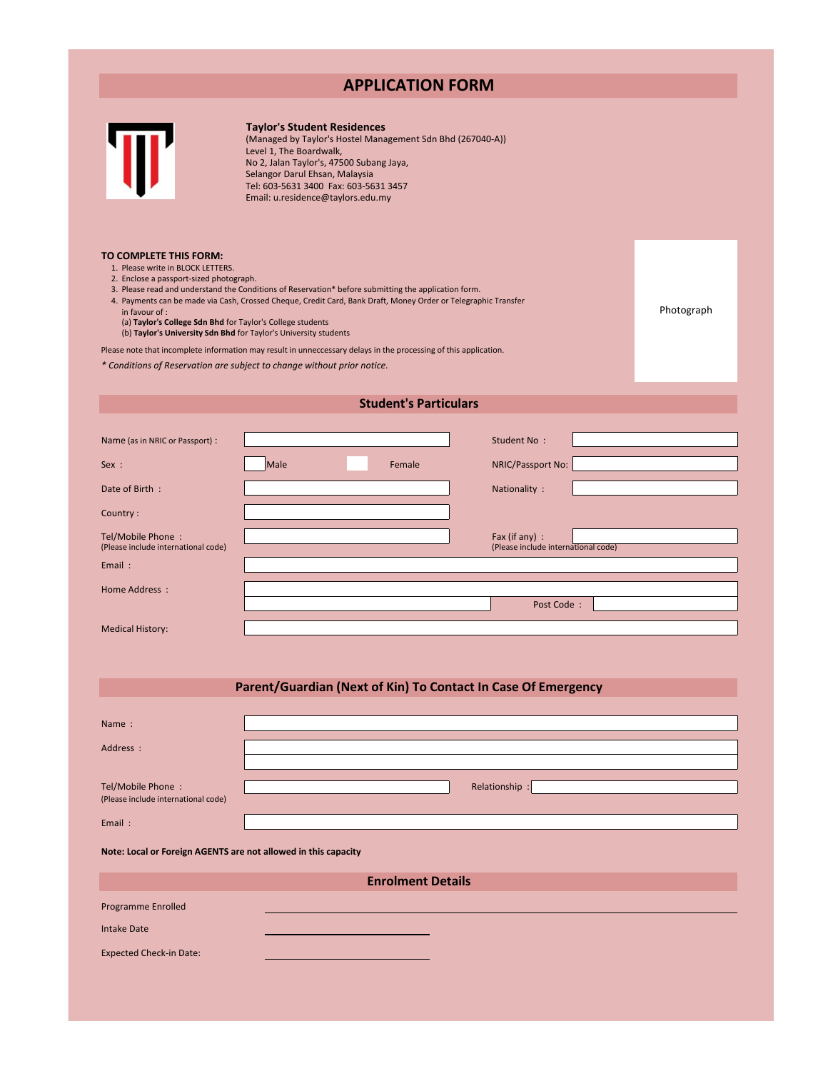# **APPLICATION FORM**



**TO COMPLETE THIS FORM:**

## **Taylor's Student Residences**

(Managed by Taylor's Hostel Management Sdn Bhd (267040-A)) Level 1, The Boardwalk, No 2, Jalan Taylor's, 47500 Subang Jaya, Selangor Darul Ehsan, Malaysia Tel: 603-5631 3400 Fax: 603-5631 3457 Email: u.residence@taylors.edu.my

| COMPLETE THIS FORM:                                                                                            |            |
|----------------------------------------------------------------------------------------------------------------|------------|
| 1. Please write in BLOCK LETTERS.                                                                              |            |
| 2. Enclose a passport-sized photograph.                                                                        |            |
| 3. Please read and understand the Conditions of Reservation* before submitting the application form.           |            |
| 4. Payments can be made via Cash, Crossed Cheque, Credit Card, Bank Draft, Money Order or Telegraphic Transfer |            |
| in favour of :                                                                                                 | Photograph |
| (a) Taylor's College Sdn Bhd for Taylor's College students                                                     |            |
| (b) Taylor's University Sdn Bhd for Taylor's University students                                               |            |
|                                                                                                                |            |

Please note that incomplete information may result in unneccessary delays in the processing of this application.

*\* Conditions of Reservation are subject to change without prior notice.*

| <b>Student's Particulars</b>                                   |      |        |                                                       |  |  |  |  |  |  |
|----------------------------------------------------------------|------|--------|-------------------------------------------------------|--|--|--|--|--|--|
|                                                                |      |        |                                                       |  |  |  |  |  |  |
| Name (as in NRIC or Passport) :                                |      |        | Student No:                                           |  |  |  |  |  |  |
| Sex :                                                          | Male | Female | NRIC/Passport No:                                     |  |  |  |  |  |  |
| Date of Birth:                                                 |      |        | Nationality :                                         |  |  |  |  |  |  |
| Country:                                                       |      |        |                                                       |  |  |  |  |  |  |
| Tel/Mobile Phone:<br>(Please include international code)       |      |        | Fax (if any) :<br>(Please include international code) |  |  |  |  |  |  |
| Email:                                                         |      |        |                                                       |  |  |  |  |  |  |
| <b>Home Address:</b>                                           |      |        |                                                       |  |  |  |  |  |  |
|                                                                |      |        | Post Code:                                            |  |  |  |  |  |  |
| <b>Medical History:</b>                                        |      |        |                                                       |  |  |  |  |  |  |
|                                                                |      |        |                                                       |  |  |  |  |  |  |
|                                                                |      |        |                                                       |  |  |  |  |  |  |
| Parent/Guardian (Next of Kin) To Contact In Case Of Emergency  |      |        |                                                       |  |  |  |  |  |  |
|                                                                |      |        |                                                       |  |  |  |  |  |  |
| Name:                                                          |      |        |                                                       |  |  |  |  |  |  |
| Address :                                                      |      |        |                                                       |  |  |  |  |  |  |
|                                                                |      |        |                                                       |  |  |  |  |  |  |
| Tel/Mobile Phone:<br>(Please include international code)       |      |        | Relationship:                                         |  |  |  |  |  |  |
|                                                                |      |        |                                                       |  |  |  |  |  |  |
| Email:                                                         |      |        |                                                       |  |  |  |  |  |  |
| Note: Local or Foreign AGENTS are not allowed in this capacity |      |        |                                                       |  |  |  |  |  |  |
| <b>Enrolment Details</b>                                       |      |        |                                                       |  |  |  |  |  |  |
| Programme Enrolled                                             |      |        |                                                       |  |  |  |  |  |  |
| <b>Intake Date</b>                                             |      |        |                                                       |  |  |  |  |  |  |
| <b>Expected Check-in Date:</b>                                 |      |        |                                                       |  |  |  |  |  |  |